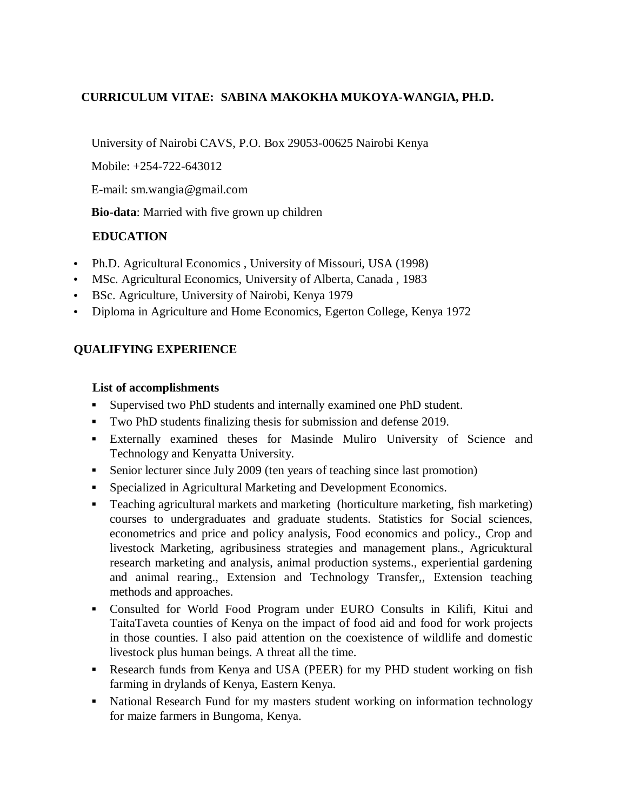## **CURRICULUM VITAE: SABINA MAKOKHA MUKOYA-WANGIA, PH.D.**

University of Nairobi CAVS, P.O. Box 29053-00625 Nairobi Kenya

Mobile: +254-722-643012

E-mail: sm.wangia@gmail.com

**Bio-data**: Married with five grown up children

## **EDUCATION**

- Ph.D. Agricultural Economics, University of Missouri, USA (1998)
- MSc. Agricultural Economics, University of Alberta, Canada , 1983
- BSc. Agriculture, University of Nairobi, Kenya 1979
- Diploma in Agriculture and Home Economics, Egerton College, Kenya 1972

## **QUALIFYING EXPERIENCE**

#### **List of accomplishments**

- Supervised two PhD students and internally examined one PhD student.
- Two PhD students finalizing thesis for submission and defense 2019.
- Externally examined theses for Masinde Muliro University of Science and Technology and Kenyatta University.
- Senior lecturer since July 2009 (ten years of teaching since last promotion)
- Specialized in Agricultural Marketing and Development Economics.
- Teaching agricultural markets and marketing (horticulture marketing, fish marketing) courses to undergraduates and graduate students. Statistics for Social sciences, econometrics and price and policy analysis, Food economics and policy., Crop and livestock Marketing, agribusiness strategies and management plans., Agricuktural research marketing and analysis, animal production systems., experiential gardening and animal rearing., Extension and Technology Transfer,, Extension teaching methods and approaches.
- Consulted for World Food Program under EURO Consults in Kilifi, Kitui and TaitaTaveta counties of Kenya on the impact of food aid and food for work projects in those counties. I also paid attention on the coexistence of wildlife and domestic livestock plus human beings. A threat all the time.
- Research funds from Kenya and USA (PEER) for my PHD student working on fish farming in drylands of Kenya, Eastern Kenya.
- National Research Fund for my masters student working on information technology for maize farmers in Bungoma, Kenya.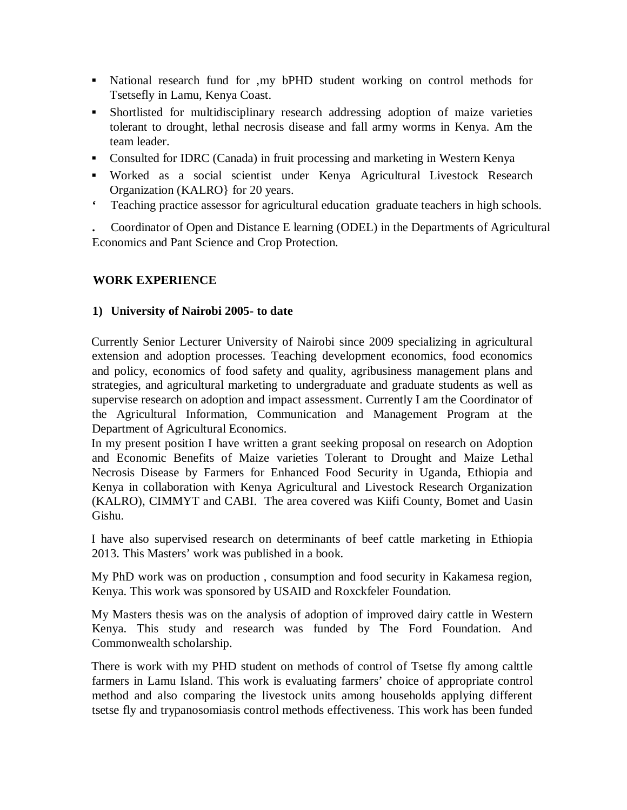- National research fund for ,my bPHD student working on control methods for Tsetsefly in Lamu, Kenya Coast.
- Shortlisted for multidisciplinary research addressing adoption of maize varieties tolerant to drought, lethal necrosis disease and fall army worms in Kenya. Am the team leader.
- Consulted for IDRC (Canada) in fruit processing and marketing in Western Kenya
- Worked as a social scientist under Kenya Agricultural Livestock Research Organization (KALRO} for 20 years.
- **'** Teaching practice assessor for agricultural education graduate teachers in high schools.

**.** Coordinator of Open and Distance E learning (ODEL) in the Departments of Agricultural Economics and Pant Science and Crop Protection.

### **WORK EXPERIENCE**

#### **1) University of Nairobi 2005- to date**

Currently Senior Lecturer University of Nairobi since 2009 specializing in agricultural extension and adoption processes. Teaching development economics, food economics and policy, economics of food safety and quality, agribusiness management plans and strategies, and agricultural marketing to undergraduate and graduate students as well as supervise research on adoption and impact assessment. Currently I am the Coordinator of the Agricultural Information, Communication and Management Program at the Department of Agricultural Economics.

In my present position I have written a grant seeking proposal on research on Adoption and Economic Benefits of Maize varieties Tolerant to Drought and Maize Lethal Necrosis Disease by Farmers for Enhanced Food Security in Uganda, Ethiopia and Kenya in collaboration with Kenya Agricultural and Livestock Research Organization (KALRO), CIMMYT and CABI. The area covered was Kiifi County, Bomet and Uasin Gishu.

I have also supervised research on determinants of beef cattle marketing in Ethiopia 2013. This Masters' work was published in a book.

My PhD work was on production , consumption and food security in Kakamesa region, Kenya. This work was sponsored by USAID and Roxckfeler Foundation.

My Masters thesis was on the analysis of adoption of improved dairy cattle in Western Kenya. This study and research was funded by The Ford Foundation. And Commonwealth scholarship.

There is work with my PHD student on methods of control of Tsetse fly among calttle farmers in Lamu Island. This work is evaluating farmers' choice of appropriate control method and also comparing the livestock units among households applying different tsetse fly and trypanosomiasis control methods effectiveness. This work has been funded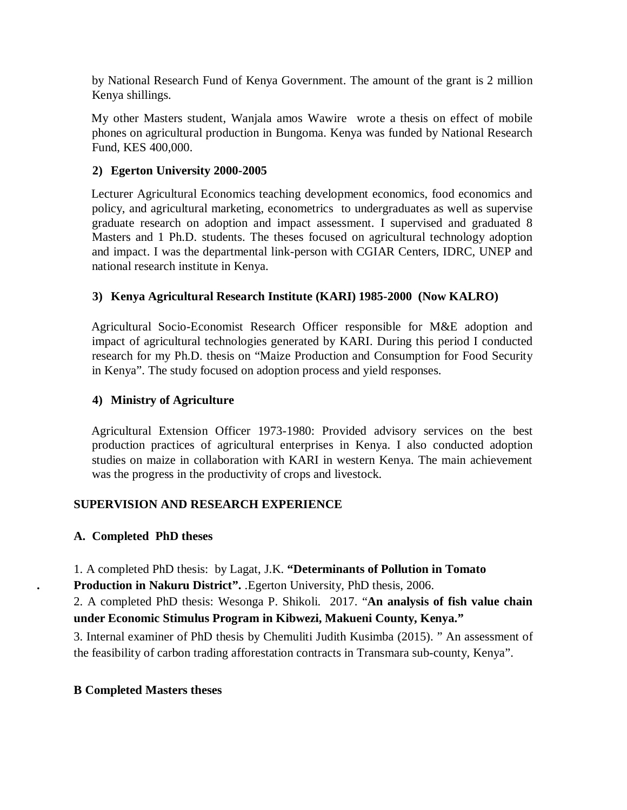by National Research Fund of Kenya Government. The amount of the grant is 2 million Kenya shillings.

My other Masters student, Wanjala amos Wawire wrote a thesis on effect of mobile phones on agricultural production in Bungoma. Kenya was funded by National Research Fund, KES 400,000.

### **2) Egerton University 2000-2005**

Lecturer Agricultural Economics teaching development economics, food economics and policy, and agricultural marketing, econometrics to undergraduates as well as supervise graduate research on adoption and impact assessment. I supervised and graduated 8 Masters and 1 Ph.D. students. The theses focused on agricultural technology adoption and impact. I was the departmental link-person with CGIAR Centers, IDRC, UNEP and national research institute in Kenya.

## **3) Kenya Agricultural Research Institute (KARI) 1985-2000 (Now KALRO)**

Agricultural Socio-Economist Research Officer responsible for M&E adoption and impact of agricultural technologies generated by KARI. During this period I conducted research for my Ph.D. thesis on "Maize Production and Consumption for Food Security in Kenya". The study focused on adoption process and yield responses.

#### **4) Ministry of Agriculture**

Agricultural Extension Officer 1973-1980: Provided advisory services on the best production practices of agricultural enterprises in Kenya. I also conducted adoption studies on maize in collaboration with KARI in western Kenya. The main achievement was the progress in the productivity of crops and livestock.

### **SUPERVISION AND RESEARCH EXPERIENCE**

### **A. Completed PhD theses**

1. A completed PhD thesis: by Lagat, J.K. **"Determinants of Pollution in Tomato . Production in Nakuru District".** .Egerton University, PhD thesis, 2006.

2. A completed PhD thesis: Wesonga P. Shikoli. 2017. "**An analysis of fish value chain under Economic Stimulus Program in Kibwezi, Makueni County, Kenya."**

3. Internal examiner of PhD thesis by Chemuliti Judith Kusimba (2015). " An assessment of the feasibility of carbon trading afforestation contracts in Transmara sub-county, Kenya".

#### **B Completed Masters theses**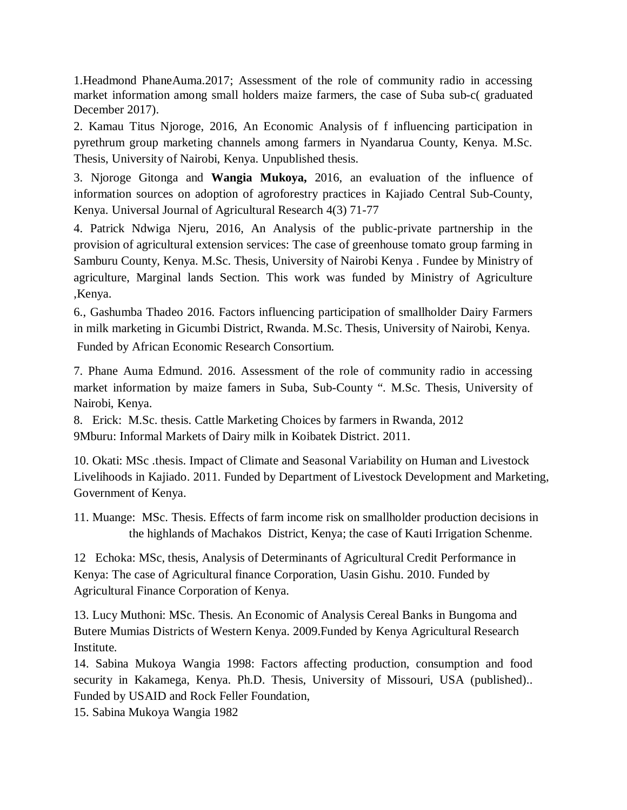1.Headmond PhaneAuma.2017; Assessment of the role of community radio in accessing market information among small holders maize farmers, the case of Suba sub-c( graduated December 2017).

2. Kamau Titus Njoroge, 2016, An Economic Analysis of f influencing participation in pyrethrum group marketing channels among farmers in Nyandarua County, Kenya. M.Sc. Thesis, University of Nairobi, Kenya. Unpublished thesis.

3. Njoroge Gitonga and **Wangia Mukoya,** 2016, an evaluation of the influence of information sources on adoption of agroforestry practices in Kajiado Central Sub-County, Kenya. Universal Journal of Agricultural Research 4(3) 71-77

4. Patrick Ndwiga Njeru, 2016, An Analysis of the public-private partnership in the provision of agricultural extension services: The case of greenhouse tomato group farming in Samburu County, Kenya. M.Sc. Thesis, University of Nairobi Kenya . Fundee by Ministry of agriculture, Marginal lands Section. This work was funded by Ministry of Agriculture ,Kenya.

6., Gashumba Thadeo 2016. Factors influencing participation of smallholder Dairy Farmers in milk marketing in Gicumbi District, Rwanda. M.Sc. Thesis, University of Nairobi, Kenya.

Funded by African Economic Research Consortium.

7. Phane Auma Edmund. 2016. Assessment of the role of community radio in accessing market information by maize famers in Suba, Sub-County ". M.Sc. Thesis, University of Nairobi, Kenya.

8. Erick: M.Sc. thesis. Cattle Marketing Choices by farmers in Rwanda, 2012 9Mburu: Informal Markets of Dairy milk in Koibatek District. 2011.

10. Okati: MSc .thesis. Impact of Climate and Seasonal Variability on Human and Livestock Livelihoods in Kajiado. 2011. Funded by Department of Livestock Development and Marketing, Government of Kenya.

11. Muange: MSc. Thesis. Effects of farm income risk on smallholder production decisions in the highlands of Machakos District, Kenya; the case of Kauti Irrigation Schenme.

12 Echoka: MSc, thesis, Analysis of Determinants of Agricultural Credit Performance in Kenya: The case of Agricultural finance Corporation, Uasin Gishu. 2010. Funded by Agricultural Finance Corporation of Kenya.

13. Lucy Muthoni: MSc. Thesis. An Economic of Analysis Cereal Banks in Bungoma and Butere Mumias Districts of Western Kenya. 2009.Funded by Kenya Agricultural Research Institute.

14. Sabina Mukoya Wangia 1998: Factors affecting production, consumption and food security in Kakamega, Kenya. Ph.D. Thesis, University of Missouri, USA (published).. Funded by USAID and Rock Feller Foundation,

15. Sabina Mukoya Wangia 1982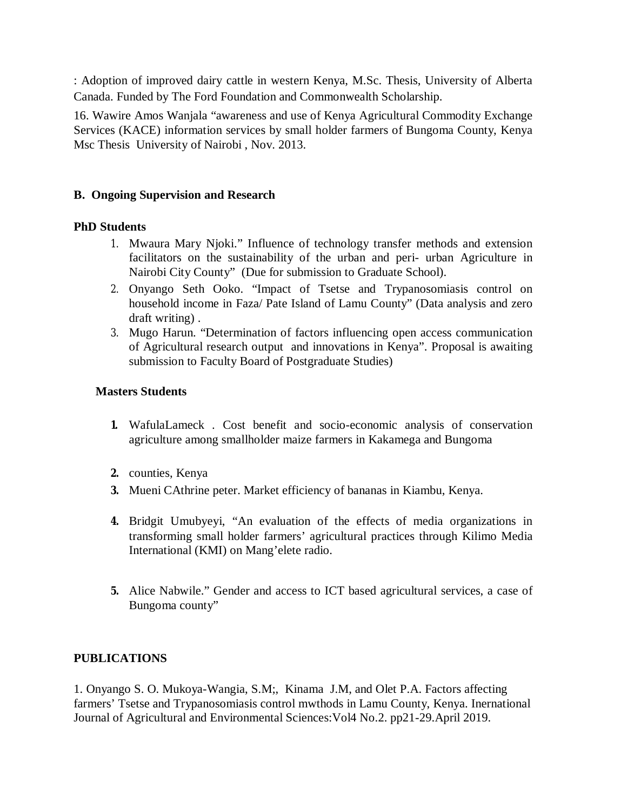: Adoption of improved dairy cattle in western Kenya, M.Sc. Thesis, University of Alberta Canada. Funded by The Ford Foundation and Commonwealth Scholarship.

16. Wawire Amos Wanjala "awareness and use of Kenya Agricultural Commodity Exchange Services (KACE) information services by small holder farmers of Bungoma County, Kenya Msc Thesis University of Nairobi , Nov. 2013.

### **B. Ongoing Supervision and Research**

### **PhD Students**

- 1. Mwaura Mary Njoki." Influence of technology transfer methods and extension facilitators on the sustainability of the urban and peri- urban Agriculture in Nairobi City County" (Due for submission to Graduate School).
- 2. Onyango Seth Ooko. "Impact of Tsetse and Trypanosomiasis control on household income in Faza/ Pate Island of Lamu County" (Data analysis and zero draft writing) .
- 3. Mugo Harun. "Determination of factors influencing open access communication of Agricultural research output and innovations in Kenya". Proposal is awaiting submission to Faculty Board of Postgraduate Studies)

## **Masters Students**

- **1.** WafulaLameck . Cost benefit and socio-economic analysis of conservation agriculture among smallholder maize farmers in Kakamega and Bungoma
- **2.** counties, Kenya
- **3.** Mueni CAthrine peter. Market efficiency of bananas in Kiambu, Kenya.
- **4.** Bridgit Umubyeyi, "An evaluation of the effects of media organizations in transforming small holder farmers' agricultural practices through Kilimo Media International (KMI) on Mang'elete radio.
- **5.** Alice Nabwile." Gender and access to ICT based agricultural services, a case of Bungoma county"

## **PUBLICATIONS**

1. Onyango S. O. Mukoya-Wangia, S.M;, Kinama J.M, and Olet P.A. Factors affecting farmers' Tsetse and Trypanosomiasis control mwthods in Lamu County, Kenya. Inernational Journal of Agricultural and Environmental Sciences:Vol4 No.2. pp21-29.April 2019.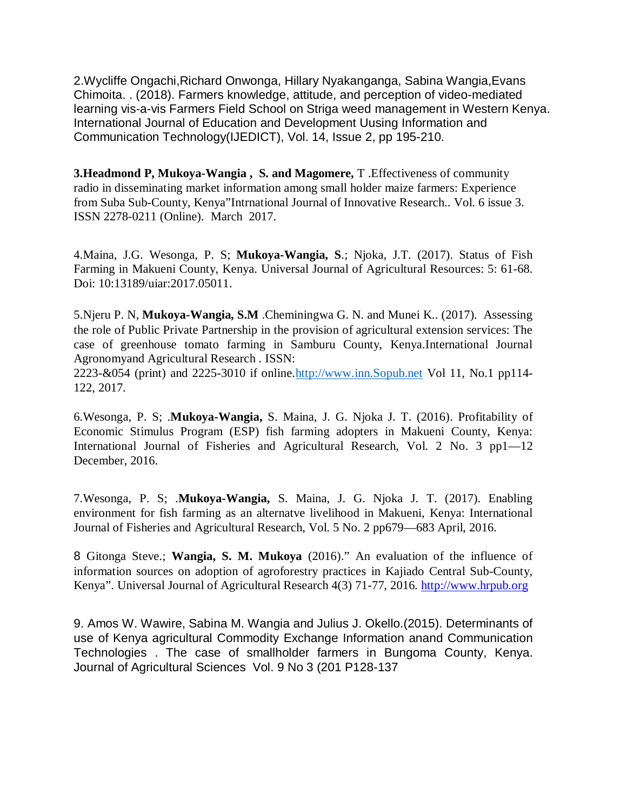2.Wycliffe Ongachi,Richard Onwonga, Hillary Nyakanganga, Sabina Wangia,Evans Chimoita. . (2018). Farmers knowledge, attitude, and perception of video-mediated learning vis-a-vis Farmers Field School on Striga weed management in Western Kenya. International Journal of Education and Development Uusing Information and Communication Technology(IJEDICT), Vol. 14, Issue 2, pp 195-210.

**3.Headmond P, Mukoya-Wangia , S. and Magomere,** T .Effectiveness of community radio in disseminating market information among small holder maize farmers: Experience from Suba Sub-County, Kenya"Intrnational Journal of Innovative Research.. Vol. 6 issue 3. ISSN 2278-0211 (Online). March 2017.

4.Maina, J.G. Wesonga, P. S; **Mukoya-Wangia, S**.; Njoka, J.T. (2017). Status of Fish Farming in Makueni County, Kenya. Universal Journal of Agricultural Resources: 5: 61-68. Doi: 10:13189/uiar:2017.05011.

5.Njeru P. N, **Mukoya-Wangia, S.M** .Cheminingwa G. N. and Munei K.. (2017). Assessing the role of Public Private Partnership in the provision of agricultural extension services: The case of greenhouse tomato farming in Samburu County, Kenya.International Journal Agronomyand Agricultural Research . ISSN:

2223-&054 (print) and 2225-3010 if online.http://www.inn.Sopub.net Vol 11, No.1 pp114- 122, 2017.

6.Wesonga, P. S; .**Mukoya-Wangia,** S. Maina, J. G. Njoka J. T. (2016). Profitability of Economic Stimulus Program (ESP) fish farming adopters in Makueni County, Kenya: International Journal of Fisheries and Agricultural Research, Vol. 2 No. 3 pp1—12 December, 2016.

7.Wesonga, P. S; .**Mukoya-Wangia,** S. Maina, J. G. Njoka J. T. (2017). Enabling environment for fish farming as an alternatve livelihood in Makueni, Kenya: International Journal of Fisheries and Agricultural Research, Vol. 5 No. 2 pp679—683 April, 2016.

8 Gitonga Steve.; **Wangia, S. M. Mukoya** (2016)." An evaluation of the influence of information sources on adoption of agroforestry practices in Kajiado Central Sub-County, Kenya". Universal Journal of Agricultural Research 4(3) 71-77, 2016. http://www.hrpub.org

9. Amos W. Wawire, Sabina M. Wangia and Julius J. Okello.(2015). Determinants of use of Kenya agricultural Commodity Exchange Information anand Communication Technologies . The case of smallholder farmers in Bungoma County, Kenya. Journal of Agricultural Sciences Vol. 9 No 3 (201 P128-137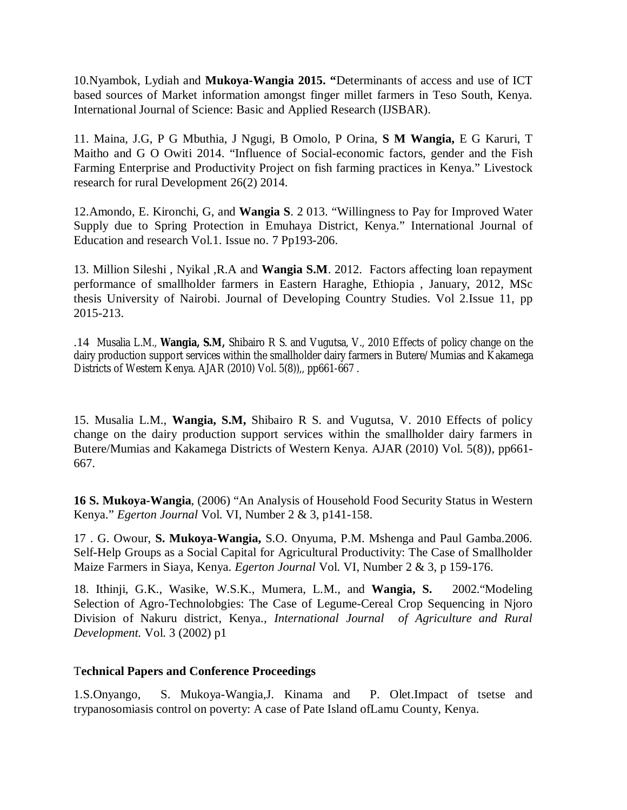10.Nyambok, Lydiah and **Mukoya-Wangia 2015. "**Determinants of access and use of ICT based sources of Market information amongst finger millet farmers in Teso South, Kenya. International Journal of Science: Basic and Applied Research (IJSBAR).

11. Maina, J.G, P G Mbuthia, J Ngugi, B Omolo, P Orina, **S M Wangia,** E G Karuri, T Maitho and G O Owiti 2014. "Influence of Social-economic factors, gender and the Fish Farming Enterprise and Productivity Project on fish farming practices in Kenya." Livestock research for rural Development 26(2) 2014.

12.Amondo, E. Kironchi, G, and **Wangia S**. 2 013. "Willingness to Pay for Improved Water Supply due to Spring Protection in Emuhaya District, Kenya." International Journal of Education and research Vol.1. Issue no. 7 Pp193-206.

13. Million Sileshi , Nyikal ,R.A and **Wangia S.M**. 2012. Factors affecting loan repayment performance of smallholder farmers in Eastern Haraghe, Ethiopia , January, 2012, MSc thesis University of Nairobi. Journal of Developing Country Studies. Vol 2.Issue 11, pp 2015-213.

.14 Musalia L.M., **Wangia, S.M,** Shibairo R S. and Vugutsa, V., 2010 Effects of policy change on the dairy production support services within the smallholder dairy farmers in Butere/Mumias and Kakamega Districts of Western Kenya. AJAR (2010) Vol. 5(8)),, pp661-667.

15. Musalia L.M., **Wangia, S.M,** Shibairo R S. and Vugutsa, V. 2010 Effects of policy change on the dairy production support services within the smallholder dairy farmers in Butere/Mumias and Kakamega Districts of Western Kenya. AJAR (2010) Vol. 5(8)), pp661- 667.

**16 S. Mukoya-Wangia**, (2006) "An Analysis of Household Food Security Status in Western Kenya." *Egerton Journal* Vol. VI, Number 2 & 3, p141-158.

17 . G. Owour, **S. Mukoya-Wangia,** S.O. Onyuma, P.M. Mshenga and Paul Gamba.2006. Self-Help Groups as a Social Capital for Agricultural Productivity: The Case of Smallholder Maize Farmers in Siaya, Kenya. *Egerton Journal* Vol. VI, Number 2 & 3, p 159-176.

18. Ithinji, G.K., Wasike, W.S.K., Mumera, L.M., and **Wangia, S.** 2002."Modeling Selection of Agro-Technolobgies: The Case of Legume-Cereal Crop Sequencing in Njoro Division of Nakuru district, Kenya.*, International Journal of Agriculture and Rural Development.* Vol. 3 (2002) p1

#### T**echnical Papers and Conference Proceedings**

1.S.Onyango, S. Mukoya-Wangia,J. Kinama and P. Olet.Impact of tsetse and trypanosomiasis control on poverty: A case of Pate Island ofLamu County, Kenya.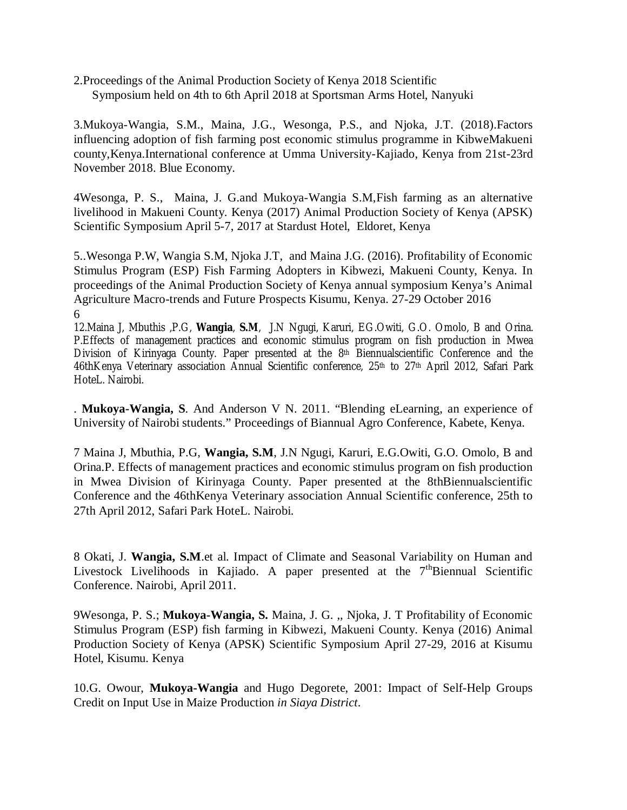2.Proceedings of the Animal Production Society of Kenya 2018 Scientific Symposium held on 4th to 6th April 2018 at Sportsman Arms Hotel, Nanyuki

3.Mukoya-Wangia, S.M., Maina, J.G., Wesonga, P.S., and Njoka, J.T. (2018).Factors influencing adoption of fish farming post economic stimulus programme in KibweMakueni county,Kenya.International conference at Umma University-Kajiado, Kenya from 21st-23rd November 2018. Blue Economy.

4Wesonga, P. S., Maina, J. G.and Mukoya-Wangia S.M,Fish farming as an alternative livelihood in Makueni County. Kenya (2017) Animal Production Society of Kenya (APSK) Scientific Symposium April 5-7, 2017 at Stardust Hotel, Eldoret, Kenya

5..Wesonga P.W, Wangia S.M, Njoka J.T, and Maina J.G. (2016). Profitability of Economic Stimulus Program (ESP) Fish Farming Adopters in Kibwezi, Makueni County, Kenya. In proceedings of the Animal Production Society of Kenya annual symposium Kenya's Animal Agriculture Macro-trends and Future Prospects Kisumu, Kenya. 27-29 October 2016 6

12.Maina J, Mbuthis ,P.G, **Wangia**, **S.M**, J.N Ngugi, Karuri, EG.Owiti, G.O. Omolo, B and Orina. P.Effects of management practices and economic stimulus program on fish production in Mwea Division of Kirinyaga County. Paper presented at the 8<sup>th</sup> Biennualscientific Conference and the 46thKenya Veterinary association Annual Scientific conference, 25<sup>th</sup> to 27<sup>th</sup> April 2012, Safari Park HoteL. Nairobi.

. **Mukoya-Wangia, S**. And Anderson V N. 2011. "Blending eLearning, an experience of University of Nairobi students." Proceedings of Biannual Agro Conference, Kabete, Kenya.

7 Maina J, Mbuthia, P.G, **Wangia, S.M**, J.N Ngugi, Karuri, E.G.Owiti, G.O. Omolo, B and Orina.P. Effects of management practices and economic stimulus program on fish production in Mwea Division of Kirinyaga County. Paper presented at the 8thBiennualscientific Conference and the 46thKenya Veterinary association Annual Scientific conference, 25th to 27th April 2012, Safari Park HoteL. Nairobi.

8 Okati, J. **Wangia, S.M**.et al. Impact of Climate and Seasonal Variability on Human and Livestock Livelihoods in Kajiado. A paper presented at the  $7<sup>th</sup>Biennual$  Scientific Conference. Nairobi, April 2011.

9Wesonga, P. S.; **Mukoya-Wangia, S.** Maina, J. G. ,, Njoka, J. T Profitability of Economic Stimulus Program (ESP) fish farming in Kibwezi, Makueni County. Kenya (2016) Animal Production Society of Kenya (APSK) Scientific Symposium April 27-29, 2016 at Kisumu Hotel, Kisumu. Kenya

10.G. Owour, **Mukoya-Wangia** and Hugo Degorete, 2001: Impact of Self-Help Groups Credit on Input Use in Maize Production *in Siaya District*.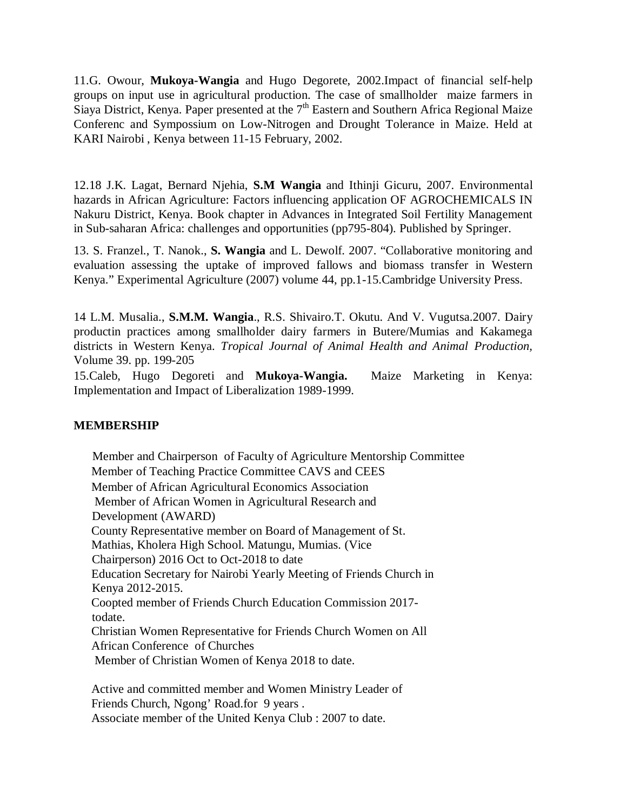11.G. Owour, **Mukoya-Wangia** and Hugo Degorete, 2002.Impact of financial self-help groups on input use in agricultural production. The case of smallholder maize farmers in Siaya District, Kenya. Paper presented at the  $7<sup>th</sup>$  Eastern and Southern Africa Regional Maize Conferenc and Sympossium on Low-Nitrogen and Drought Tolerance in Maize. Held at KARI Nairobi , Kenya between 11-15 February, 2002.

12.18 J.K. Lagat, Bernard Njehia, **S.M Wangia** and Ithinji Gicuru, 2007. Environmental hazards in African Agriculture: Factors influencing application OF AGROCHEMICALS IN Nakuru District, Kenya. Book chapter in Advances in Integrated Soil Fertility Management in Sub-saharan Africa: challenges and opportunities (pp795-804). Published by Springer.

13. S. Franzel., T. Nanok., **S. Wangia** and L. Dewolf. 2007. "Collaborative monitoring and evaluation assessing the uptake of improved fallows and biomass transfer in Western Kenya." Experimental Agriculture (2007) volume 44, pp.1-15.Cambridge University Press.

14 L.M. Musalia., **S.M.M. Wangia**., R.S. Shivairo.T. Okutu. And V. Vugutsa.2007. Dairy productin practices among smallholder dairy farmers in Butere/Mumias and Kakamega districts in Western Kenya. *Tropical Journal of Animal Health and Animal Production,* Volume 39. pp. 199-205

15.Caleb, Hugo Degoreti and **Mukoya-Wangia.** Maize Marketing in Kenya: Implementation and Impact of Liberalization 1989-1999.

#### **MEMBERSHIP**

Member and Chairperson of Faculty of Agriculture Mentorship Committee Member of Teaching Practice Committee CAVS and CEES Member of African Agricultural Economics Association Member of African Women in Agricultural Research and Development (AWARD) County Representative member on Board of Management of St. Mathias, Kholera High School. Matungu, Mumias. (Vice Chairperson) 2016 Oct to Oct-2018 to date Education Secretary for Nairobi Yearly Meeting of Friends Church in Kenya 2012-2015. Coopted member of Friends Church Education Commission 2017 todate. Christian Women Representative for Friends Church Women on All African Conference of Churches Member of Christian Women of Kenya 2018 to date.

Active and committed member and Women Ministry Leader of Friends Church, Ngong' Road.for 9 years . Associate member of the United Kenya Club : 2007 to date.